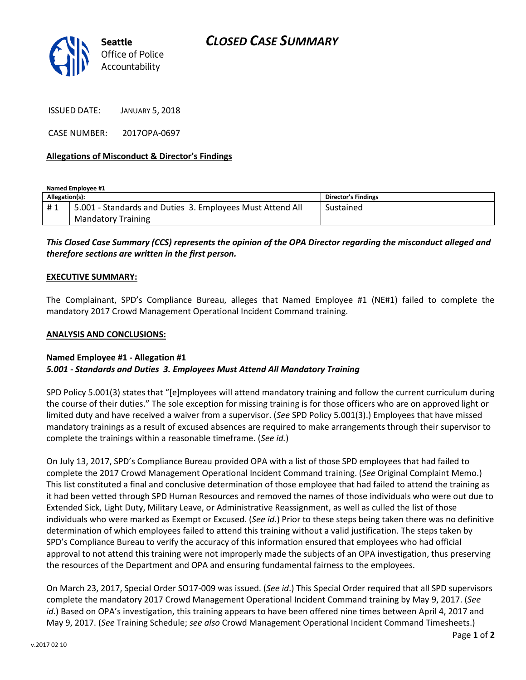

ISSUED DATE: JANUARY 5, 2018

CASE NUMBER: 2017OPA-0697

## **Allegations of Misconduct & Director's Findings**

**Named Employee #1 Allegation(s): Director's Findings** #1 | 5.001 - Standards and Duties 3. Employees Must Attend All Mandatory Training Sustained

# *This Closed Case Summary (CCS) represents the opinion of the OPA Director regarding the misconduct alleged and therefore sections are written in the first person.*

### **EXECUTIVE SUMMARY:**

The Complainant, SPD's Compliance Bureau, alleges that Named Employee #1 (NE#1) failed to complete the mandatory 2017 Crowd Management Operational Incident Command training.

#### **ANALYSIS AND CONCLUSIONS:**

#### **Named Employee #1 - Allegation #1** *5.001 - Standards and Duties 3. Employees Must Attend All Mandatory Training*

SPD Policy 5.001(3) states that "[e]mployees will attend mandatory training and follow the current curriculum during the course of their duties." The sole exception for missing training is for those officers who are on approved light or limited duty and have received a waiver from a supervisor. (*See* SPD Policy 5.001(3).) Employees that have missed mandatory trainings as a result of excused absences are required to make arrangements through their supervisor to complete the trainings within a reasonable timeframe. (*See id.*)

On July 13, 2017, SPD's Compliance Bureau provided OPA with a list of those SPD employees that had failed to complete the 2017 Crowd Management Operational Incident Command training. (*See* Original Complaint Memo.) This list constituted a final and conclusive determination of those employee that had failed to attend the training as it had been vetted through SPD Human Resources and removed the names of those individuals who were out due to Extended Sick, Light Duty, Military Leave, or Administrative Reassignment, as well as culled the list of those individuals who were marked as Exempt or Excused. (*See id*.) Prior to these steps being taken there was no definitive determination of which employees failed to attend this training without a valid justification. The steps taken by SPD's Compliance Bureau to verify the accuracy of this information ensured that employees who had official approval to not attend this training were not improperly made the subjects of an OPA investigation, thus preserving the resources of the Department and OPA and ensuring fundamental fairness to the employees.

On March 23, 2017, Special Order SO17-009 was issued. (*See id*.) This Special Order required that all SPD supervisors complete the mandatory 2017 Crowd Management Operational Incident Command training by May 9, 2017. (*See id*.) Based on OPA's investigation, this training appears to have been offered nine times between April 4, 2017 and May 9, 2017. (*See* Training Schedule; *see also* Crowd Management Operational Incident Command Timesheets.)